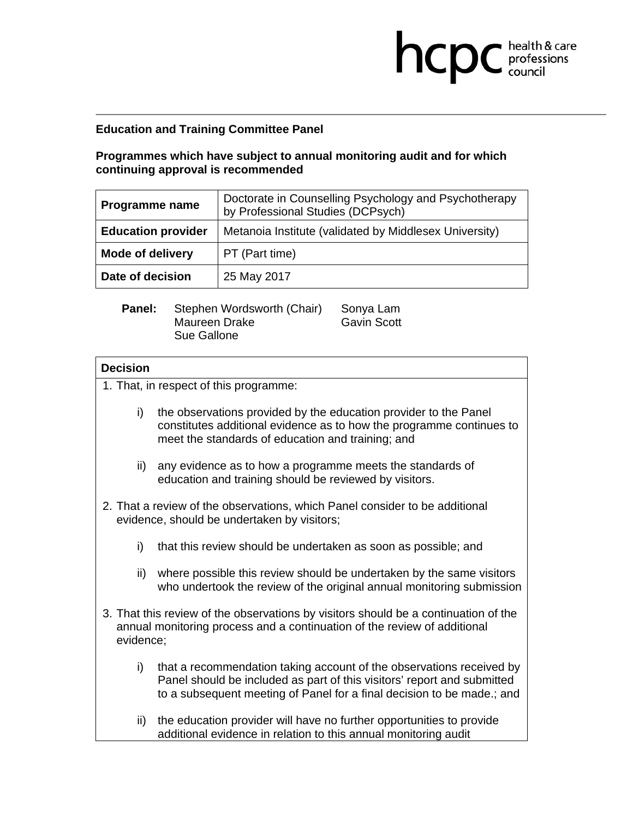## **Education and Training Committee Panel**

## **Programmes which have subject to annual monitoring audit and for which continuing approval is recommended**

**health & care** 

| Programme name            | Doctorate in Counselling Psychology and Psychotherapy<br>by Professional Studies (DCPsych) |  |
|---------------------------|--------------------------------------------------------------------------------------------|--|
| <b>Education provider</b> | Metanoia Institute (validated by Middlesex University)                                     |  |
| <b>Mode of delivery</b>   | PT (Part time)                                                                             |  |
| Date of decision          | 25 May 2017                                                                                |  |

| <b>Panel:</b> | Stephen Wordsworth (Chair) | Sonya Lam          |
|---------------|----------------------------|--------------------|
|               | Maureen Drake              | <b>Gavin Scott</b> |
|               | Sue Gallone                |                    |

## **Decision**

1. That, in respect of this programme: i) the observations provided by the education provider to the Panel constitutes additional evidence as to how the programme continues to meet the standards of education and training; and ii) any evidence as to how a programme meets the standards of education and training should be reviewed by visitors. 2. That a review of the observations, which Panel consider to be additional evidence, should be undertaken by visitors; i) that this review should be undertaken as soon as possible; and ii) where possible this review should be undertaken by the same visitors who undertook the review of the original annual monitoring submission 3. That this review of the observations by visitors should be a continuation of the annual monitoring process and a continuation of the review of additional evidence; i) that a recommendation taking account of the observations received by Panel should be included as part of this visitors' report and submitted to a subsequent meeting of Panel for a final decision to be made.; and ii) the education provider will have no further opportunities to provide

additional evidence in relation to this annual monitoring audit